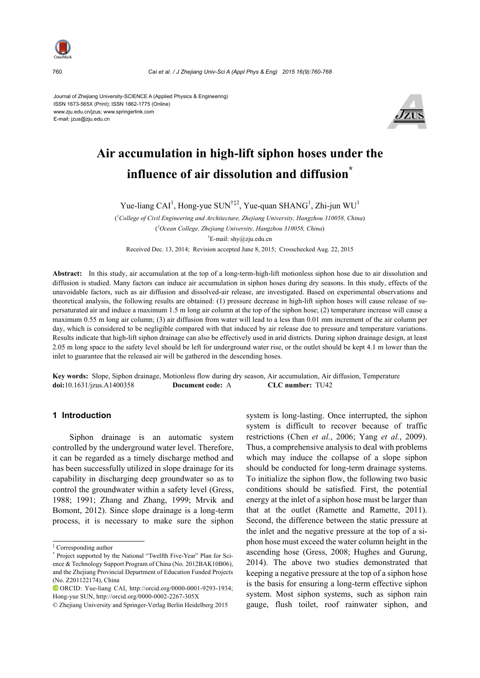

Journal of Zhejiang University-SCIENCE A (Applied Physics & Engineering) ISSN 1673-565X (Print); ISSN 1862-1775 (Online) www.zju.edu.cn/jzus; www.springerlink.com E-mail: jzus@zju.edu.cn



# **Air accumulation in high-lift siphon hoses under the influence of air dissolution and diffusion\***

Yue-liang CAI<sup>1</sup>, Hong-yue SUN<sup>†‡2</sup>, Yue-quan SHANG<sup>1</sup>, Zhi-jun WU<sup>1</sup>

( *1 College of Civil Engineering and Architecture, Zhejiang University, Hangzhou 310058, China*) ( *2 Ocean College, Zhejiang University, Hangzhou 310058, China*) † E-mail: shy@zju.edu.cn Received Dec. 13, 2014; Revision accepted June 8, 2015; Crosschecked Aug. 22, 2015

**Abstract:** In this study, air accumulation at the top of a long-term-high-lift motionless siphon hose due to air dissolution and diffusion is studied. Many factors can induce air accumulation in siphon hoses during dry seasons. In this study, effects of the unavoidable factors, such as air diffusion and dissolved-air release, are investigated. Based on experimental observations and theoretical analysis, the following results are obtained: (1) pressure decrease in high-lift siphon hoses will cause release of supersaturated air and induce a maximum 1.5 m long air column at the top of the siphon hose; (2) temperature increase will cause a maximum 0.55 m long air column; (3) air diffusion from water will lead to a less than 0.01 mm increment of the air column per day, which is considered to be negligible compared with that induced by air release due to pressure and temperature variations. Results indicate that high-lift siphon drainage can also be effectively used in arid districts. During siphon drainage design, at least 2.05 m long space to the safety level should be left for underground water rise, or the outlet should be kept 4.1 m lower than the inlet to guarantee that the released air will be gathered in the descending hoses.

**Key words:** Slope, Siphon drainage, Motionless flow during dry season, Air accumulation, Air diffusion, Temperature **doi:**10.1631/jzus.A1400358 **Document code:** A **CLC number:** TU42

## **1 Introduction**

Siphon drainage is an automatic system controlled by the underground water level. Therefore, it can be regarded as a timely discharge method and has been successfully utilized in slope drainage for its capability in discharging deep groundwater so as to control the groundwater within a safety level (Gress, 1988; 1991; Zhang and Zhang, 1999; Mrvik and Bomont, 2012). Since slope drainage is a long-term process, it is necessary to make sure the siphon

system is long-lasting. Once interrupted, the siphon system is difficult to recover because of traffic restrictions (Chen *et al.*, 2006; Yang *et al.*, 2009). Thus, a comprehensive analysis to deal with problems which may induce the collapse of a slope siphon should be conducted for long-term drainage systems. To initialize the siphon flow, the following two basic conditions should be satisfied. First, the potential energy at the inlet of a siphon hose must be larger than that at the outlet (Ramette and Ramette, 2011). Second, the difference between the static pressure at the inlet and the negative pressure at the top of a siphon hose must exceed the water column height in the ascending hose (Gress, 2008; Hughes and Gurung, 2014). The above two studies demonstrated that keeping a negative pressure at the top of a siphon hose is the basis for ensuring a long-term effective siphon system. Most siphon systems, such as siphon rain gauge, flush toilet, roof rainwater siphon, and

<sup>‡</sup> Corresponding author

<sup>\*</sup> Project supported by the National "Twelfth Five-Year" Plan for Science & Technology Support Program of China (No. 2012BAK10B06), and the Zhejiang Provincial Department of Education Funded Projects (No. Z201122174), China

ORCID: Yue-liang CAI, http://orcid.org/0000-0001-9293-1934; Hong-yue SUN, http://orcid.org/0000-0002-2267-305X

<sup>©</sup> Zhejiang University and Springer-Verlag Berlin Heidelberg 2015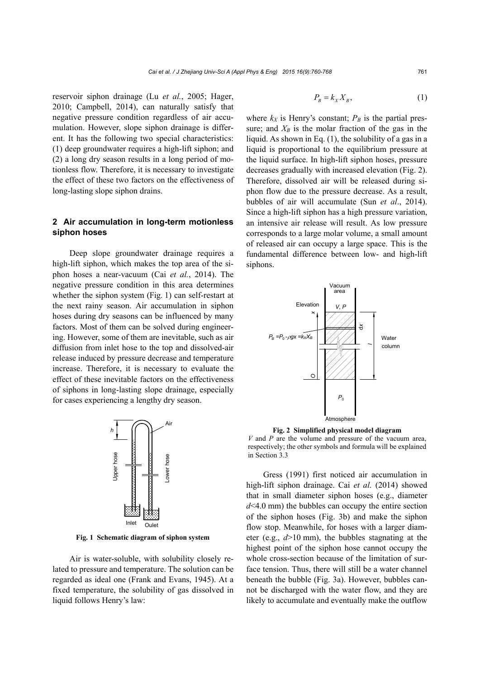reservoir siphon drainage (Lu *et al.*, 2005; Hager, 2010; Campbell, 2014), can naturally satisfy that negative pressure condition regardless of air accumulation. However, slope siphon drainage is different. It has the following two special characteristics: (1) deep groundwater requires a high-lift siphon; and (2) a long dry season results in a long period of motionless flow. Therefore, it is necessary to investigate the effect of these two factors on the effectiveness of long-lasting slope siphon drains.

## **2 Air accumulation in long-term motionless siphon hoses**

Deep slope groundwater drainage requires a high-lift siphon, which makes the top area of the siphon hoses a near-vacuum (Cai *et al.*, 2014). The negative pressure condition in this area determines whether the siphon system (Fig. 1) can self-restart at the next rainy season. Air accumulation in siphon hoses during dry seasons can be influenced by many factors. Most of them can be solved during engineering. However, some of them are inevitable, such as air diffusion from inlet hose to the top and dissolved-air release induced by pressure decrease and temperature increase. Therefore, it is necessary to evaluate the effect of these inevitable factors on the effectiveness of siphons in long-lasting slope drainage, especially for cases experiencing a lengthy dry season.



**Fig. 1 Schematic diagram of siphon system** 

Air is water-soluble, with solubility closely related to pressure and temperature. The solution can be regarded as ideal one (Frank and Evans, 1945). At a fixed temperature, the solubility of gas dissolved in liquid follows Henry's law:

$$
P_B = k_X X_B, \tag{1}
$$

where  $k_X$  is Henry's constant;  $P_B$  is the partial pressure; and  $X_B$  is the molar fraction of the gas in the liquid. As shown in Eq. (1), the solubility of a gas in a liquid is proportional to the equilibrium pressure at the liquid surface. In high-lift siphon hoses, pressure decreases gradually with increased elevation (Fig. 2). Therefore, dissolved air will be released during siphon flow due to the pressure decrease. As a result, bubbles of air will accumulate (Sun *et al*., 2014). Since a high-lift siphon has a high pressure variation, an intensive air release will result. As low pressure corresponds to a large molar volume, a small amount of released air can occupy a large space. This is the fundamental difference between low- and high-lift siphons.



**Fig. 2 Simplified physical model diagram**  *V* and *P* are the volume and pressure of the vacuum area, respectively; the other symbols and formula will be explained in Section 3.3

Gress (1991) first noticed air accumulation in high-lift siphon drainage. Cai *et al.* (2014) showed that in small diameter siphon hoses (e.g., diameter *d*<4.0 mm) the bubbles can occupy the entire section of the siphon hoses (Fig. 3b) and make the siphon flow stop. Meanwhile, for hoses with a larger diameter (e.g., *d*>10 mm), the bubbles stagnating at the highest point of the siphon hose cannot occupy the whole cross-section because of the limitation of surface tension. Thus, there will still be a water channel beneath the bubble (Fig. 3a). However, bubbles cannot be discharged with the water flow, and they are likely to accumulate and eventually make the outflow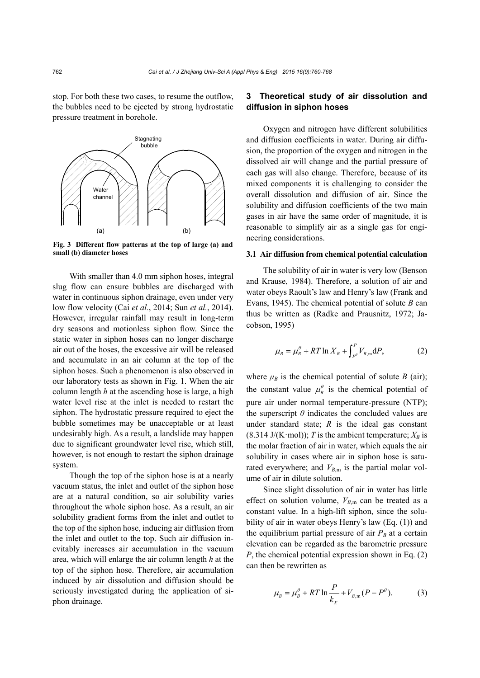stop. For both these two cases, to resume the outflow, the bubbles need to be ejected by strong hydrostatic pressure treatment in borehole.



**Fig. 3 Different flow patterns at the top of large (a) and small (b) diameter hoses** 

With smaller than 4.0 mm siphon hoses, integral slug flow can ensure bubbles are discharged with water in continuous siphon drainage, even under very low flow velocity (Cai *et al.*, 2014; Sun *et al.*, 2014). However, irregular rainfall may result in long-term dry seasons and motionless siphon flow. Since the static water in siphon hoses can no longer discharge air out of the hoses, the excessive air will be released and accumulate in an air column at the top of the siphon hoses. Such a phenomenon is also observed in our laboratory tests as shown in Fig. 1. When the air column length *h* at the ascending hose is large, a high water level rise at the inlet is needed to restart the siphon. The hydrostatic pressure required to eject the bubble sometimes may be unacceptable or at least undesirably high. As a result, a landslide may happen due to significant groundwater level rise, which still, however, is not enough to restart the siphon drainage system.

Though the top of the siphon hose is at a nearly vacuum status, the inlet and outlet of the siphon hose are at a natural condition, so air solubility varies throughout the whole siphon hose. As a result, an air solubility gradient forms from the inlet and outlet to the top of the siphon hose, inducing air diffusion from the inlet and outlet to the top. Such air diffusion inevitably increases air accumulation in the vacuum area, which will enlarge the air column length *h* at the top of the siphon hose. Therefore, air accumulation induced by air dissolution and diffusion should be seriously investigated during the application of siphon drainage.

## **3 Theoretical study of air dissolution and diffusion in siphon hoses**

Oxygen and nitrogen have different solubilities and diffusion coefficients in water. During air diffusion, the proportion of the oxygen and nitrogen in the dissolved air will change and the partial pressure of each gas will also change. Therefore, because of its mixed components it is challenging to consider the overall dissolution and diffusion of air. Since the solubility and diffusion coefficients of the two main gases in air have the same order of magnitude, it is reasonable to simplify air as a single gas for engineering considerations.

#### **3.1 Air diffusion from chemical potential calculation**

The solubility of air in water is very low (Benson and Krause, 1984). Therefore, a solution of air and water obeys Raoult's law and Henry's law (Frank and Evans, 1945). The chemical potential of solute *B* can thus be written as (Radke and Prausnitz, 1972; Jacobson, 1995)

$$
\mu_B = \mu_B^{\theta} + RT \ln X_B + \int_{P^{\theta}}^{P} V_{B,\text{m}} \text{d}P, \tag{2}
$$

where  $\mu_B$  is the chemical potential of solute *B* (air); the constant value  $\mu^{\theta}$  is the chemical potential of pure air under normal temperature-pressure (NTP); the superscript  $\theta$  indicates the concluded values are under standard state; *R* is the ideal gas constant (8.314 J/(K·mol)); *T* is the ambient temperature;  $X_B$  is the molar fraction of air in water, which equals the air solubility in cases where air in siphon hose is saturated everywhere; and  $V_{B,m}$  is the partial molar volume of air in dilute solution.

Since slight dissolution of air in water has little effect on solution volume,  $V_{B,m}$  can be treated as a constant value. In a high-lift siphon, since the solubility of air in water obeys Henry's law (Eq. (1)) and the equilibrium partial pressure of air  $P_B$  at a certain elevation can be regarded as the barometric pressure *P*, the chemical potential expression shown in Eq. (2) can then be rewritten as

$$
\mu_{B} = \mu_{B}^{\theta} + RT \ln \frac{P}{k_{X}} + V_{B,m}(P - P^{\theta}).
$$
 (3)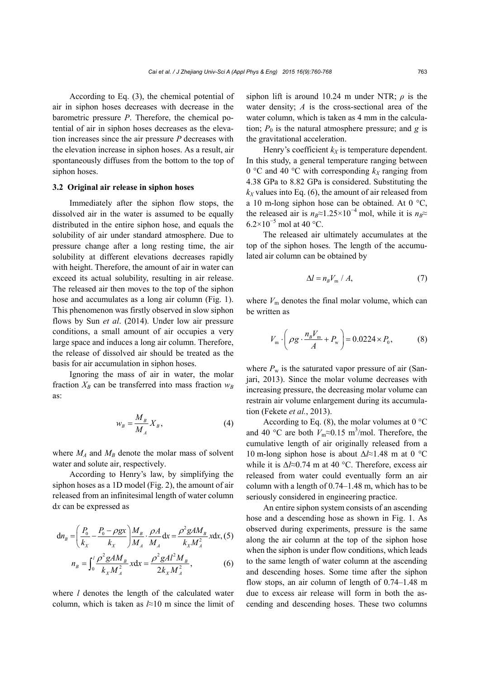According to Eq. (3), the chemical potential of air in siphon hoses decreases with decrease in the barometric pressure *P*. Therefore, the chemical potential of air in siphon hoses decreases as the elevation increases since the air pressure *P* decreases with the elevation increase in siphon hoses. As a result, air spontaneously diffuses from the bottom to the top of siphon hoses.

#### **3.2 Original air release in siphon hoses**

Immediately after the siphon flow stops, the dissolved air in the water is assumed to be equally distributed in the entire siphon hose, and equals the solubility of air under standard atmosphere. Due to pressure change after a long resting time, the air solubility at different elevations decreases rapidly with height. Therefore, the amount of air in water can exceed its actual solubility, resulting in air release. The released air then moves to the top of the siphon hose and accumulates as a long air column (Fig. 1). This phenomenon was firstly observed in slow siphon flows by Sun *et al*. (2014). Under low air pressure conditions, a small amount of air occupies a very large space and induces a long air column. Therefore, the release of dissolved air should be treated as the basis for air accumulation in siphon hoses.

Ignoring the mass of air in water, the molar fraction  $X_B$  can be transferred into mass fraction  $W_B$ as:

$$
w_B = \frac{M_B}{M_A} X_B, \tag{4}
$$

where  $M_A$  and  $M_B$  denote the molar mass of solvent water and solute air, respectively.

According to Henry's law, by simplifying the siphon hoses as a 1D model (Fig. 2), the amount of air released from an infinitesimal length of water column d*x* can be expressed as

$$
dn_B = \left(\frac{P_0}{k_X} - \frac{P_0 - \rho gx}{k_X}\right) \frac{M_B}{M_A} \cdot \frac{\rho A}{M_A} dx = \frac{\rho^2 g A M_B}{k_X M_A^2} x dx, (5)
$$

$$
n_B = \int_0^l \frac{\rho^2 g A M_B}{k_X M_A^2} x dx = \frac{\rho^2 g A l^2 M_B}{2k_X M_A^2},
$$
(6)

where *l* denotes the length of the calculated water column, which is taken as *l*≈10 m since the limit of siphon lift is around 10.24 m under NTR; *ρ* is the water density; *A* is the cross-sectional area of the water column, which is taken as 4 mm in the calculation;  $P_0$  is the natural atmosphere pressure; and  $g$  is the gravitational acceleration.

Henry's coefficient  $k_X$  is temperature dependent. In this study, a general temperature ranging between 0 °C and 40 °C with corresponding  $k_X$  ranging from 4.38 GPa to 8.82 GPa is considered. Substituting the  $k_X$  values into Eq. (6), the amount of air released from a 10 m-long siphon hose can be obtained. At 0 °C, the released air is  $n_B \approx 1.25 \times 10^{-4}$  mol, while it is  $n_B \approx$  $6.2\times10^{-5}$  mol at 40 °C.

The released air ultimately accumulates at the top of the siphon hoses. The length of the accumulated air column can be obtained by

$$
\Delta l = n_{B} V_{\rm m} / A, \tag{7}
$$

where  $V_m$  denotes the final molar volume, which can be written as

$$
V_{\rm m} \cdot \left(\rho g \cdot \frac{n_b V_{\rm m}}{A} + P_{\rm w}\right) = 0.0224 \times P_0,\tag{8}
$$

where  $P_w$  is the saturated vapor pressure of air (Sanjari, 2013). Since the molar volume decreases with increasing pressure, the decreasing molar volume can restrain air volume enlargement during its accumulation (Fekete *et al.*, 2013).

According to Eq. (8), the molar volumes at  $0^{\circ}$ C and 40 °C are both  $V_m \approx 0.15$  m<sup>3</sup>/mol. Therefore, the cumulative length of air originally released from a 10 m-long siphon hose is about Δ*l*≈1.48 m at 0 °C while it is Δ*l*≈0.74 m at 40 °C. Therefore, excess air released from water could eventually form an air column with a length of 0.74–1.48 m, which has to be seriously considered in engineering practice.

An entire siphon system consists of an ascending hose and a descending hose as shown in Fig. 1. As observed during experiments, pressure is the same along the air column at the top of the siphon hose when the siphon is under flow conditions, which leads to the same length of water column at the ascending and descending hoses. Some time after the siphon flow stops, an air column of length of 0.74–1.48 m due to excess air release will form in both the ascending and descending hoses. These two columns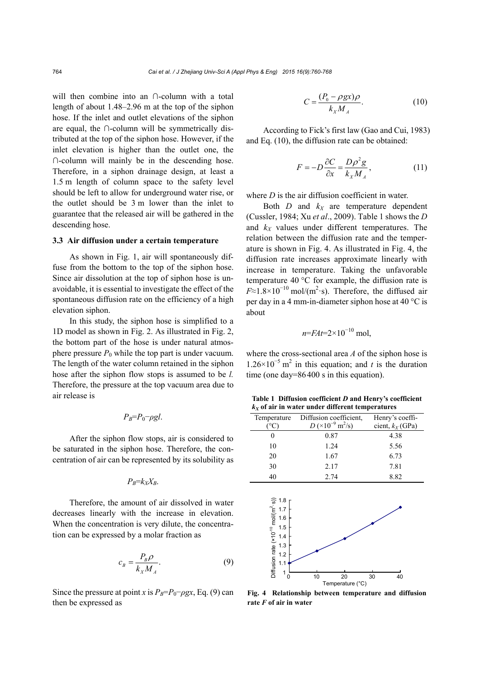will then combine into an ∩-column with a total length of about 1.48–2.96 m at the top of the siphon hose. If the inlet and outlet elevations of the siphon are equal, the ∩-column will be symmetrically distributed at the top of the siphon hose. However, if the inlet elevation is higher than the outlet one, the ∩-column will mainly be in the descending hose. Therefore, in a siphon drainage design, at least a 1.5 m length of column space to the safety level should be left to allow for underground water rise, or the outlet should be 3 m lower than the inlet to guarantee that the released air will be gathered in the descending hose.

#### **3.3 Air diffusion under a certain temperature**

As shown in Fig. 1, air will spontaneously diffuse from the bottom to the top of the siphon hose. Since air dissolution at the top of siphon hose is unavoidable, it is essential to investigate the effect of the spontaneous diffusion rate on the efficiency of a high elevation siphon.

In this study, the siphon hose is simplified to a 1D model as shown in Fig. 2. As illustrated in Fig. 2, the bottom part of the hose is under natural atmosphere pressure  $P_0$  while the top part is under vacuum. The length of the water column retained in the siphon hose after the siphon flow stops is assumed to be *l.* Therefore, the pressure at the top vacuum area due to air release is

$$
P_B = P_0 - \rho g l.
$$

After the siphon flow stops, air is considered to be saturated in the siphon hose. Therefore, the concentration of air can be represented by its solubility as

$$
P_B = k_X X_B.
$$

Therefore, the amount of air dissolved in water decreases linearly with the increase in elevation. When the concentration is very dilute, the concentration can be expressed by a molar fraction as

$$
c_B = \frac{P_B \rho}{k_X M_A}.\tag{9}
$$

Since the pressure at point *x* is  $P_B = P_0 - \rho gx$ , Eq. (9) can then be expressed as

$$
C = \frac{(P_0 - \rho gx)\rho}{k_x M_A}.
$$
 (10)

According to Fick's first law (Gao and Cui, 1983) and Eq. (10), the diffusion rate can be obtained:

$$
F = -D\frac{\partial C}{\partial x} = \frac{D\rho^2 g}{k_x M_A},\tag{11}
$$

where *D* is the air diffusion coefficient in water.

Both  $D$  and  $k_X$  are temperature dependent (Cussler, 1984; Xu *et al*., 2009). Table 1 shows the *D* and  $k_X$  values under different temperatures. The relation between the diffusion rate and the temperature is shown in Fig. 4. As illustrated in Fig. 4, the diffusion rate increases approximate linearly with increase in temperature. Taking the unfavorable temperature 40 °C for example, the diffusion rate is  $F \approx 1.8 \times 10^{-10}$  mol/(m<sup>2</sup>·s). Therefore, the diffused air per day in a 4 mm-in-diameter siphon hose at 40 °C is about

$$
n = FAt = 2 \times 10^{-10} \text{ mol},
$$

where the cross-sectional area *A* of the siphon hose is  $1.26 \times 10^{-5}$  m<sup>2</sup> in this equation; and *t* is the duration time (one day=86400 s in this equation).

**Table 1 Diffusion coefficient** *D* **and Henry's coefficient**   $k_X$  of air in water under different temperatures

| Temperature<br>(°C)                                                                                                                                                                                                                                                                            | Diffusion coefficient,<br>$D (×10^{-9} \text{ m}^2/\text{s})$ | Henry's coeffi-<br>cient, $k_X$ (GPa) |
|------------------------------------------------------------------------------------------------------------------------------------------------------------------------------------------------------------------------------------------------------------------------------------------------|---------------------------------------------------------------|---------------------------------------|
| 0                                                                                                                                                                                                                                                                                              | 0.87                                                          | 4.38                                  |
| 10                                                                                                                                                                                                                                                                                             | 1.24                                                          | 5.56                                  |
| 20                                                                                                                                                                                                                                                                                             | 1.67                                                          | 6.73                                  |
| 30                                                                                                                                                                                                                                                                                             | 2.17                                                          | 7.81                                  |
| 40                                                                                                                                                                                                                                                                                             | 2.74                                                          | 8.82                                  |
| $\frac{1}{2}$<br>$\frac{1}{2}$<br>$\frac{1}{2}$<br>$\frac{1}{2}$<br>$\frac{1}{2}$<br>$\frac{1}{2}$<br>$\frac{1}{2}$<br>$\frac{1}{2}$<br>$\frac{1}{2}$<br>$\frac{1}{2}$<br>$\frac{1}{2}$<br>$\frac{1}{2}$<br>$\frac{1}{2}$<br>$\frac{1}{2}$<br>$\frac{1}{2}$<br>$\frac{1}{2}$<br>$\overline{ }$ |                                                               |                                       |



**Fig. 4 Relationship between temperature and diffusion rate** *F* **of air in water**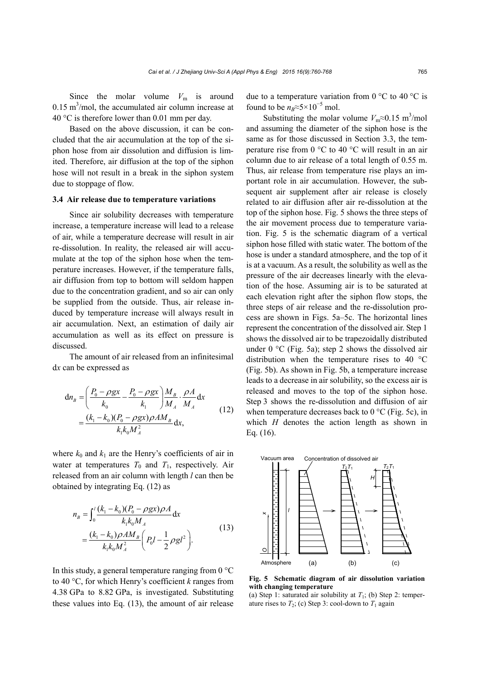Since the molar volume  $V_m$  is around  $0.15 \text{ m}^3/\text{mol}$ , the accumulated air column increase at 40 °C is therefore lower than 0.01 mm per day.

Based on the above discussion, it can be concluded that the air accumulation at the top of the siphon hose from air dissolution and diffusion is limited. Therefore, air diffusion at the top of the siphon hose will not result in a break in the siphon system due to stoppage of flow.

## **3.4 Air release due to temperature variations**

Since air solubility decreases with temperature increase, a temperature increase will lead to a release of air, while a temperature decrease will result in air re-dissolution. In reality, the released air will accumulate at the top of the siphon hose when the temperature increases. However, if the temperature falls, air diffusion from top to bottom will seldom happen due to the concentration gradient, and so air can only be supplied from the outside. Thus, air release induced by temperature increase will always result in air accumulation. Next, an estimation of daily air accumulation as well as its effect on pressure is discussed.

The amount of air released from an infinitesimal d*x* can be expressed as

$$
dn_B = \left(\frac{P_0 - \rho gx}{k_0} - \frac{P_0 - \rho gx}{k_1}\right) \frac{M_B}{M_A} \cdot \frac{\rho A}{M_A} dx
$$
  
=  $\frac{(k_1 - k_0)(P_0 - \rho gx)\rho AM_B}{k_1 k_0 M_A^2} dx,$  (12)

where  $k_0$  and  $k_1$  are the Henry's coefficients of air in water at temperatures  $T_0$  and  $T_1$ , respectively. Air released from an air column with length *l* can then be obtained by integrating Eq. (12) as

$$
n_B = \int_0^l \frac{(k_1 - k_0)(P_0 - \rho gx)\rho A}{k_1 k_0 M_A} dx
$$
  
=  $\frac{(k_1 - k_0)\rho AM_B}{k_1 k_0 M_A^2} \left(P_0 l - \frac{1}{2}\rho gt^2\right).$  (13)

In this study, a general temperature ranging from  $0^{\circ}$ C to 40 °C, for which Henry's coefficient *k* ranges from 4.38 GPa to 8.82 GPa, is investigated. Substituting these values into Eq. (13), the amount of air release due to a temperature variation from  $0^{\circ}$ C to  $40^{\circ}$ C is found to be  $n_B \approx 5 \times 10^{-5}$  mol.

Substituting the molar volume  $V_m \approx 0.15 \text{ m}^3/\text{mol}$ and assuming the diameter of the siphon hose is the same as for those discussed in Section 3.3, the temperature rise from 0 °C to 40 °C will result in an air column due to air release of a total length of 0.55 m. Thus, air release from temperature rise plays an important role in air accumulation. However, the subsequent air supplement after air release is closely related to air diffusion after air re-dissolution at the top of the siphon hose. Fig. 5 shows the three steps of the air movement process due to temperature variation. Fig. 5 is the schematic diagram of a vertical siphon hose filled with static water. The bottom of the hose is under a standard atmosphere, and the top of it is at a vacuum. As a result, the solubility as well as the pressure of the air decreases linearly with the elevation of the hose. Assuming air is to be saturated at each elevation right after the siphon flow stops, the three steps of air release and the re-dissolution process are shown in Figs. 5a–5c. The horizontal lines represent the concentration of the dissolved air. Step 1 shows the dissolved air to be trapezoidally distributed under  $0^{\circ}$ C (Fig. 5a); step 2 shows the dissolved air distribution when the temperature rises to 40 °C (Fig. 5b). As shown in Fig. 5b, a temperature increase leads to a decrease in air solubility, so the excess air is released and moves to the top of the siphon hose. Step 3 shows the re-dissolution and diffusion of air when temperature decreases back to  $0^{\circ}$ C (Fig. 5c), in which *H* denotes the action length as shown in Eq. (16).



**Fig. 5 Schematic diagram of air dissolution variation with changing temperature** 

(a) Step 1: saturated air solubility at  $T_1$ ; (b) Step 2: temperature rises to  $T_2$ ; (c) Step 3: cool-down to  $T_1$  again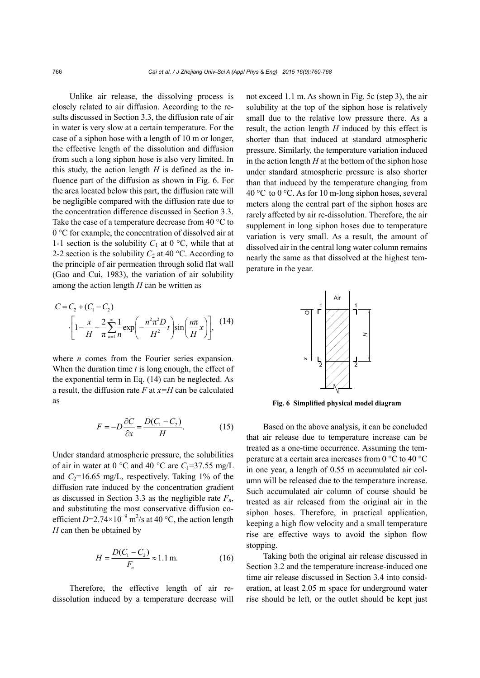Unlike air release, the dissolving process is closely related to air diffusion. According to the results discussed in Section 3.3, the diffusion rate of air in water is very slow at a certain temperature. For the case of a siphon hose with a length of 10 m or longer, the effective length of the dissolution and diffusion from such a long siphon hose is also very limited. In this study, the action length *H* is defined as the influence part of the diffusion as shown in Fig. 6. For the area located below this part, the diffusion rate will be negligible compared with the diffusion rate due to the concentration difference discussed in Section 3.3. Take the case of a temperature decrease from 40 °C to 0 °C for example, the concentration of dissolved air at 1-1 section is the solubility  $C_1$  at 0 °C, while that at 2-2 section is the solubility  $C_2$  at 40 °C. According to the principle of air permeation through solid flat wall (Gao and Cui, 1983), the variation of air solubility among the action length *H* can be written as

$$
C = C_2 + (C_1 - C_2)
$$

$$
\cdot \left[ 1 - \frac{x}{H} - \frac{2}{\pi} \sum_{n=1}^{\infty} \frac{1}{n} \exp\left(-\frac{n^2 \pi^2 D}{H^2} t\right) \sin\left(\frac{n\pi}{H} x\right) \right], (14)
$$

where *n* comes from the Fourier series expansion. When the duration time *t* is long enough, the effect of the exponential term in Eq. (14) can be neglected. As a result, the diffusion rate *F* at *x=H* can be calculated as

$$
F = -D\frac{\partial C}{\partial x} = \frac{D(C_1 - C_2)}{H}.\tag{15}
$$

Under standard atmospheric pressure, the solubilities of air in water at 0 °C and 40 °C are  $C_1$ =37.55 mg/L and  $C_2$ =16.65 mg/L, respectively. Taking 1% of the diffusion rate induced by the concentration gradient as discussed in Section 3.3 as the negligible rate  $F_n$ , and substituting the most conservative diffusion coefficient *D*=2.74×10<sup>-9</sup> m<sup>2</sup>/s at 40 °C, the action length *H* can then be obtained by

$$
H = \frac{D(C_1 - C_2)}{F_n} \approx 1.1 \,\text{m.}
$$
 (16)

Therefore, the effective length of air redissolution induced by a temperature decrease will not exceed 1.1 m. As shown in Fig. 5c (step 3), the air solubility at the top of the siphon hose is relatively small due to the relative low pressure there. As a result, the action length *H* induced by this effect is shorter than that induced at standard atmospheric pressure. Similarly, the temperature variation induced in the action length *H* at the bottom of the siphon hose under standard atmospheric pressure is also shorter than that induced by the temperature changing from 40 °C to 0 °C. As for 10 m-long siphon hoses, several meters along the central part of the siphon hoses are rarely affected by air re-dissolution. Therefore, the air supplement in long siphon hoses due to temperature variation is very small. As a result, the amount of dissolved air in the central long water column remains nearly the same as that dissolved at the highest temperature in the year.



**Fig. 6 Simplified physical model diagram**

Based on the above analysis, it can be concluded that air release due to temperature increase can be treated as a one-time occurrence. Assuming the temperature at a certain area increases from 0 °C to 40 °C in one year, a length of 0.55 m accumulated air column will be released due to the temperature increase. Such accumulated air column of course should be treated as air released from the original air in the siphon hoses. Therefore, in practical application, keeping a high flow velocity and a small temperature rise are effective ways to avoid the siphon flow stopping.

Taking both the original air release discussed in Section 3.2 and the temperature increase-induced one time air release discussed in Section 3.4 into consideration, at least 2.05 m space for underground water rise should be left, or the outlet should be kept just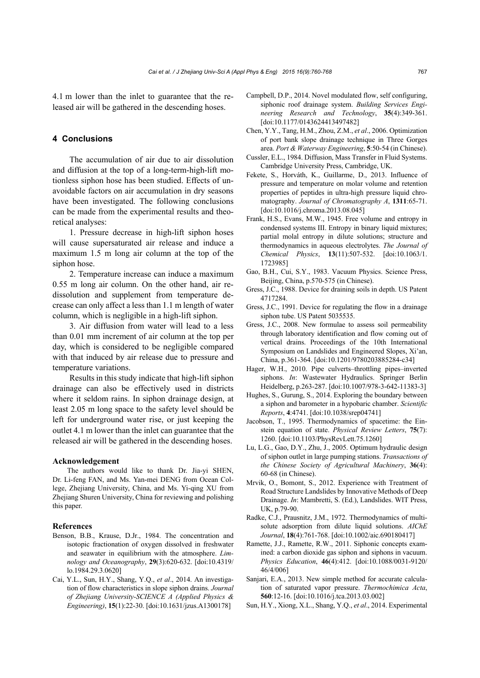4.1 m lower than the inlet to guarantee that the released air will be gathered in the descending hoses.

## **4 Conclusions**

The accumulation of air due to air dissolution and diffusion at the top of a long-term-high-lift motionless siphon hose has been studied. Effects of unavoidable factors on air accumulation in dry seasons have been investigated. The following conclusions can be made from the experimental results and theoretical analyses:

1. Pressure decrease in high-lift siphon hoses will cause supersaturated air release and induce a maximum 1.5 m long air column at the top of the siphon hose.

2. Temperature increase can induce a maximum 0.55 m long air column. On the other hand, air redissolution and supplement from temperature decrease can only affect a less than 1.1 m length of water column, which is negligible in a high-lift siphon.

3. Air diffusion from water will lead to a less than 0.01 mm increment of air column at the top per day, which is considered to be negligible compared with that induced by air release due to pressure and temperature variations.

Results in this study indicate that high-lift siphon drainage can also be effectively used in districts where it seldom rains. In siphon drainage design, at least 2.05 m long space to the safety level should be left for underground water rise, or just keeping the outlet 4.1 m lower than the inlet can guarantee that the released air will be gathered in the descending hoses.

#### **Acknowledgement**

The authors would like to thank Dr. Jia-yi SHEN, Dr. Li-feng FAN, and Ms. Yan-mei DENG from Ocean College, Zhejiang University, China, and Ms. Yi-qing XU from Zhejiang Shuren University, China for reviewing and polishing this paper.

#### **References**

- Benson, B.B., Krause, D.Jr., 1984. The concentration and isotopic fractionation of oxygen dissolved in freshwater and seawater in equilibrium with the atmosphere. *Limnology and Oceanography*, **29**(3):620-632. [doi:10.4319/ lo.1984.29.3.0620]
- Cai, Y.L., Sun, H.Y., Shang, Y.Q., *et al*., 2014. An investigation of flow characteristics in slope siphon drains. *Journal of Zhejiang University-SCIENCE A (Applied Physics & Engineering)*, **15**(1):22-30. [doi:10.1631/jzus.A1300178]
- Campbell, D.P., 2014. Novel modulated flow, self configuring, siphonic roof drainage system. *Building Services Engineering Research and Technology*, **35**(4):349-361. [doi:10.1177/0143624413497482]
- Chen, Y.Y., Tang, H.M., Zhou, Z.M., *et al*., 2006. Optimization of port bank slope drainage technique in Three Gorges area. *Port & Waterway Engineering*, **5**:50-54 (in Chinese).
- Cussler, E.L., 1984. Diffusion, Mass Transfer in Fluid Systems. Cambridge University Press, Cambridge, UK.
- Fekete, S., Horváth, K., Guillarme, D., 2013. Influence of pressure and temperature on molar volume and retention properties of peptides in ultra-high pressure liquid chromatography. *Journal of Chromatography A*, **1311**:65-71. [doi:10.1016/j.chroma.2013.08.045]
- Frank, H.S., Evans, M.W., 1945. Free volume and entropy in condensed systems III. Entropy in binary liquid mixtures; partial molal entropy in dilute solutions; structure and thermodynamics in aqueous electrolytes. *The Journal of Chemical Physics*, **13**(11):507-532. [doi:10.1063/1. 1723985]
- Gao, B.H., Cui, S.Y., 1983. Vacuum Physics. Science Press, Beijing, China, p.570-575 (in Chinese).
- Gress, J.C., 1988. Device for draining soils in depth. US Patent 4717284.
- Gress, J.C., 1991. Device for regulating the flow in a drainage siphon tube. US Patent 5035535.
- Gress, J.C., 2008. New formulae to assess soil permeability through laboratory identification and flow coming out of vertical drains. Proceedings of the 10th International Symposium on Landslides and Engineered Slopes, Xi'an, China, p.361-364. [doi:10.1201/9780203885284-c34]
- Hager, W.H., 2010. Pipe culverts–throttling pipes–inverted siphons. *In*: Wastewater Hydraulics. Springer Berlin Heidelberg, p.263-287. [doi:10.1007/978-3-642-11383-3]
- Hughes, S., Gurung, S., 2014. Exploring the boundary between a siphon and barometer in a hypobaric chamber. *Scientific Reports*, **4**:4741. [doi:10.1038/srep04741]
- Jacobson, T., 1995. Thermodynamics of spacetime: the Einstein equation of state. *Physical Review Letters*, **75**(7): 1260. [doi:10.1103/PhysRevLett.75.1260]
- Lu, L.G., Gao, D.Y., Zhu, J., 2005. Optimum hydraulic design of siphon outlet in large pumping stations. *Transactions of the Chinese Society of Agricultural Machinery*, **36**(4): 60-68 (in Chinese).
- Mrvik, O., Bomont, S., 2012. Experience with Treatment of Road Structure Landslides by Innovative Methods of Deep Drainage. *In*: Mambretti, S. (Ed.), Landslides. WIT Press, UK, p.79-90.
- Radke, C.J., Prausnitz, J.M., 1972. Thermodynamics of multisolute adsorption from dilute liquid solutions. *AIChE Journal*, **18**(4):761-768. [doi:10.1002/aic.690180417]
- Ramette, J.J., Ramette, R.W., 2011. Siphonic concepts examined: a carbon dioxide gas siphon and siphons in vacuum. *Physics Education*, **46**(4):412. [doi:10.1088/0031-9120/ 46/4/006]
- Sanjari, E.A., 2013. New simple method for accurate calculation of saturated vapor pressure. *Thermochimica Acta*, **560**:12-16. [doi:10.1016/j.tca.2013.03.002]
- Sun, H.Y., Xiong, X.L., Shang, Y.Q., *et al*., 2014. Experimental